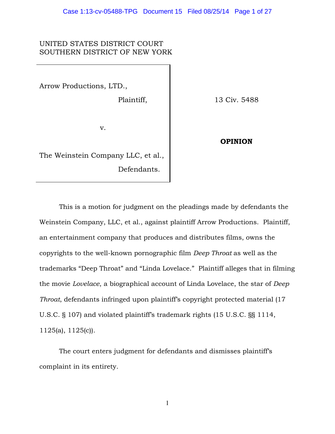# UNITED STATES DISTRICT COURT SOUTHERN DISTRICT OF NEW YORK

Arrow Productions, LTD.,

Plaintiff,

13 Civ. 5488

v.

The Weinstein Company LLC, et al., Defendants.

**OPINION**

This is a motion for judgment on the pleadings made by defendants the Weinstein Company, LLC, et al., against plaintiff Arrow Productions. Plaintiff, an entertainment company that produces and distributes films, owns the copyrights to the well-known pornographic film *Deep Throat* as well as the trademarks "Deep Throat" and "Linda Lovelace." Plaintiff alleges that in filming the movie *Lovelace*, a biographical account of Linda Lovelace, the star of *Deep Throat*, defendants infringed upon plaintiff's copyright protected material (17 U.S.C. § 107) and violated plaintiff's trademark rights (15 U.S.C. §§ 1114, 1125(a), 1125(c)).

 The court enters judgment for defendants and dismisses plaintiff's complaint in its entirety.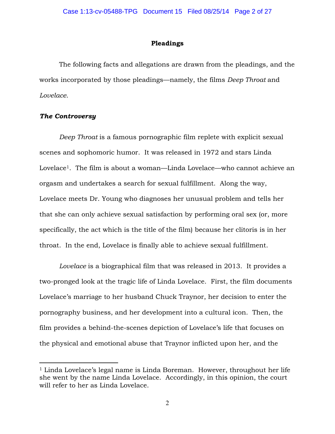### **Pleadings**

 The following facts and allegations are drawn from the pleadings, and the works incorporated by those pleadings—namely, the films *Deep Throat* and *Lovelace*.

## *The Controversy*

 $\overline{a}$ 

*Deep Throat* is a famous pornographic film replete with explicit sexual scenes and sophomoric humor. It was released in 1972 and stars Linda Lovelace<sup>1</sup>. The film is about a woman—Linda Lovelace—who cannot achieve an orgasm and undertakes a search for sexual fulfillment. Along the way, Lovelace meets Dr. Young who diagnoses her unusual problem and tells her that she can only achieve sexual satisfaction by performing oral sex (or, more specifically, the act which is the title of the film) because her clitoris is in her throat. In the end, Lovelace is finally able to achieve sexual fulfillment.

*Lovelace* is a biographical film that was released in 2013. It provides a two-pronged look at the tragic life of Linda Lovelace. First, the film documents Lovelace's marriage to her husband Chuck Traynor, her decision to enter the pornography business, and her development into a cultural icon. Then, the film provides a behind-the-scenes depiction of Lovelace's life that focuses on the physical and emotional abuse that Traynor inflicted upon her, and the

<sup>&</sup>lt;sup>1</sup> Linda Lovelace's legal name is Linda Boreman. However, throughout her life she went by the name Linda Lovelace. Accordingly, in this opinion, the court will refer to her as Linda Lovelace.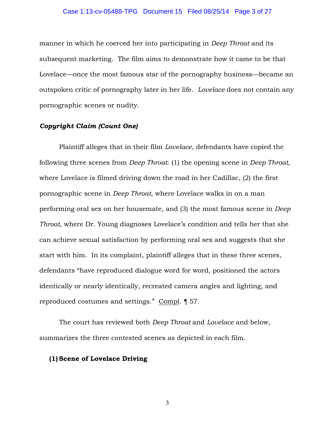#### Case 1:13-cv-05488-TPG Document 15 Filed 08/25/14 Page 3 of 27

manner in which he coerced her into participating in *Deep Throat* and its subsequent marketing. The film aims to demonstrate how it came to be that Lovelace—once the most famous star of the pornography business—became an outspoken critic of pornography later in her life. *Lovelace* does not contain any pornographic scenes or nudity.

### *Copyright Claim (Count One)*

 Plaintiff alleges that in their film *Lovelace*, defendants have copied the following three scenes from *Deep Throat*: (1) the opening scene in *Deep Throat*, where Lovelace is filmed driving down the road in her Cadillac, (2) the first pornographic scene in *Deep Throat*, where Lovelace walks in on a man performing oral sex on her housemate, and (3) the most famous scene in *Deep Throat*, where Dr. Young diagnoses Lovelace's condition and tells her that she can achieve sexual satisfaction by performing oral sex and suggests that she start with him. In its complaint, plaintiff alleges that in these three scenes, defendants "have reproduced dialogue word for word, positioned the actors identically or nearly identically, recreated camera angles and lighting, and reproduced costumes and settings." Compl. ¶ 57.

 The court has reviewed both *Deep Throat* and *Lovelace* and below, summarizes the three contested scenes as depicted in each film.

## **(1) Scene of Lovelace Driving**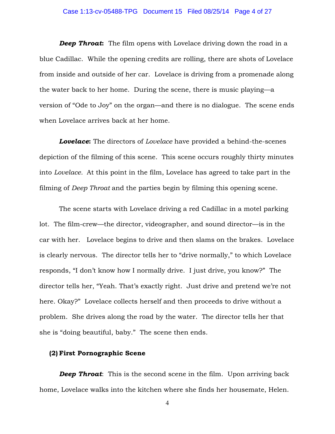#### Case 1:13-cv-05488-TPG Document 15 Filed 08/25/14 Page 4 of 27

**Deep Throat:** The film opens with Lovelace driving down the road in a blue Cadillac. While the opening credits are rolling, there are shots of Lovelace from inside and outside of her car. Lovelace is driving from a promenade along the water back to her home. During the scene, there is music playing—a version of "Ode to Joy" on the organ—and there is no dialogue. The scene ends when Lovelace arrives back at her home.

*Lovelace***:** The directors of *Lovelace* have provided a behind-the-scenes depiction of the filming of this scene. This scene occurs roughly thirty minutes into *Lovelace.* At this point in the film, Lovelace has agreed to take part in the filming of *Deep Throat* and the parties begin by filming this opening scene.

The scene starts with Lovelace driving a red Cadillac in a motel parking lot. The film-crew—the director, videographer, and sound director—is in the car with her. Lovelace begins to drive and then slams on the brakes. Lovelace is clearly nervous. The director tells her to "drive normally," to which Lovelace responds, "I don't know how I normally drive. I just drive, you know?" The director tells her, "Yeah. That's exactly right. Just drive and pretend we're not here. Okay?" Lovelace collects herself and then proceeds to drive without a problem. She drives along the road by the water. The director tells her that she is "doing beautiful, baby." The scene then ends.

### **(2) First Pornographic Scene**

**Deep Throat:** This is the second scene in the film. Upon arriving back home, Lovelace walks into the kitchen where she finds her housemate, Helen.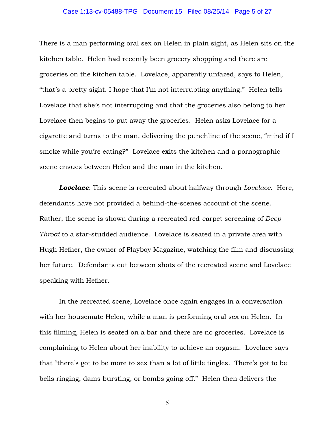#### Case 1:13-cv-05488-TPG Document 15 Filed 08/25/14 Page 5 of 27

There is a man performing oral sex on Helen in plain sight, as Helen sits on the kitchen table. Helen had recently been grocery shopping and there are groceries on the kitchen table. Lovelace, apparently unfazed, says to Helen, "that's a pretty sight. I hope that I'm not interrupting anything." Helen tells Lovelace that she's not interrupting and that the groceries also belong to her. Lovelace then begins to put away the groceries. Helen asks Lovelace for a cigarette and turns to the man, delivering the punchline of the scene, "mind if I smoke while you're eating?" Lovelace exits the kitchen and a pornographic scene ensues between Helen and the man in the kitchen.

*Lovelace*: This scene is recreated about halfway through *Lovelace*. Here, defendants have not provided a behind-the-scenes account of the scene. Rather, the scene is shown during a recreated red-carpet screening of *Deep Throat* to a star-studded audience. Lovelace is seated in a private area with Hugh Hefner, the owner of Playboy Magazine, watching the film and discussing her future. Defendants cut between shots of the recreated scene and Lovelace speaking with Hefner.

In the recreated scene, Lovelace once again engages in a conversation with her housemate Helen, while a man is performing oral sex on Helen. In this filming, Helen is seated on a bar and there are no groceries. Lovelace is complaining to Helen about her inability to achieve an orgasm. Lovelace says that "there's got to be more to sex than a lot of little tingles. There's got to be bells ringing, dams bursting, or bombs going off." Helen then delivers the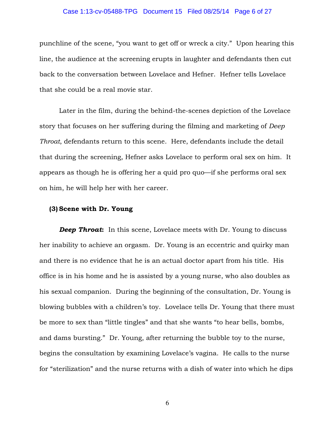#### Case 1:13-cv-05488-TPG Document 15 Filed 08/25/14 Page 6 of 27

punchline of the scene, "you want to get off or wreck a city." Upon hearing this line, the audience at the screening erupts in laughter and defendants then cut back to the conversation between Lovelace and Hefner. Hefner tells Lovelace that she could be a real movie star.

Later in the film, during the behind-the-scenes depiction of the Lovelace story that focuses on her suffering during the filming and marketing of *Deep Throat*, defendants return to this scene. Here, defendants include the detail that during the screening, Hefner asks Lovelace to perform oral sex on him. It appears as though he is offering her a quid pro quo—if she performs oral sex on him, he will help her with her career.

## **(3) Scene with Dr. Young**

**Deep Throat:** In this scene, Lovelace meets with Dr. Young to discuss her inability to achieve an orgasm. Dr. Young is an eccentric and quirky man and there is no evidence that he is an actual doctor apart from his title. His office is in his home and he is assisted by a young nurse, who also doubles as his sexual companion. During the beginning of the consultation, Dr. Young is blowing bubbles with a children's toy. Lovelace tells Dr. Young that there must be more to sex than "little tingles" and that she wants "to hear bells, bombs, and dams bursting." Dr. Young, after returning the bubble toy to the nurse, begins the consultation by examining Lovelace's vagina. He calls to the nurse for "sterilization" and the nurse returns with a dish of water into which he dips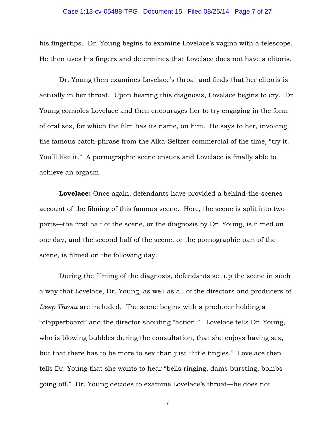#### Case 1:13-cv-05488-TPG Document 15 Filed 08/25/14 Page 7 of 27

his fingertips. Dr. Young begins to examine Lovelace's vagina with a telescope. He then uses his fingers and determines that Lovelace does not have a clitoris.

 Dr. Young then examines Lovelace's throat and finds that her clitoris is actually in her throat. Upon hearing this diagnosis, Lovelace begins to cry. Dr. Young consoles Lovelace and then encourages her to try engaging in the form of oral sex, for which the film has its name, on him. He says to her, invoking the famous catch-phrase from the Alka-Seltzer commercial of the time, "try it. You'll like it." A pornographic scene ensues and Lovelace is finally able to achieve an orgasm.

**Lovelace:** Once again, defendants have provided a behind-the-scenes account of the filming of this famous scene. Here, the scene is split into two parts—the first half of the scene, or the diagnosis by Dr. Young, is filmed on one day, and the second half of the scene, or the pornographic part of the scene, is filmed on the following day.

During the filming of the diagnosis, defendants set up the scene in such a way that Lovelace, Dr. Young, as well as all of the directors and producers of *Deep Throat* are included. The scene begins with a producer holding a "clapperboard" and the director shouting "action." Lovelace tells Dr. Young, who is blowing bubbles during the consultation, that she enjoys having sex, but that there has to be more to sex than just "little tingles." Lovelace then tells Dr. Young that she wants to hear "bells ringing, dams bursting, bombs going off." Dr. Young decides to examine Lovelace's throat—he does not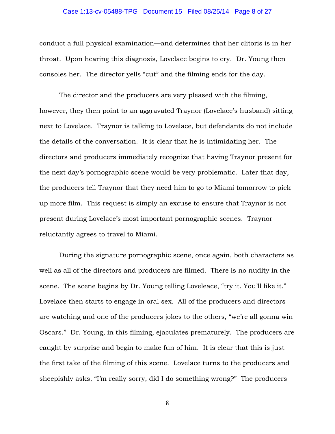#### Case 1:13-cv-05488-TPG Document 15 Filed 08/25/14 Page 8 of 27

conduct a full physical examination—and determines that her clitoris is in her throat. Upon hearing this diagnosis, Lovelace begins to cry. Dr. Young then consoles her. The director yells "cut" and the filming ends for the day.

The director and the producers are very pleased with the filming, however, they then point to an aggravated Traynor (Lovelace's husband) sitting next to Lovelace. Traynor is talking to Lovelace, but defendants do not include the details of the conversation. It is clear that he is intimidating her. The directors and producers immediately recognize that having Traynor present for the next day's pornographic scene would be very problematic. Later that day, the producers tell Traynor that they need him to go to Miami tomorrow to pick up more film. This request is simply an excuse to ensure that Traynor is not present during Lovelace's most important pornographic scenes. Traynor reluctantly agrees to travel to Miami.

During the signature pornographic scene, once again, both characters as well as all of the directors and producers are filmed. There is no nudity in the scene. The scene begins by Dr. Young telling Loveleace, "try it. You'll like it." Lovelace then starts to engage in oral sex. All of the producers and directors are watching and one of the producers jokes to the others, "we're all gonna win Oscars." Dr. Young, in this filming, ejaculates prematurely. The producers are caught by surprise and begin to make fun of him. It is clear that this is just the first take of the filming of this scene. Lovelace turns to the producers and sheepishly asks, "I'm really sorry, did I do something wrong?" The producers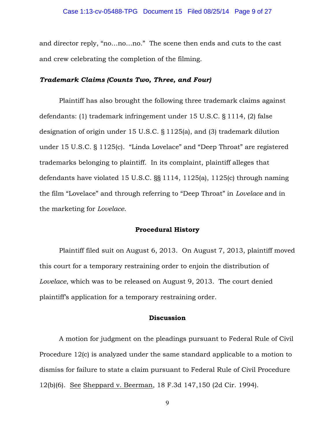and director reply, "no…no…no." The scene then ends and cuts to the cast and crew celebrating the completion of the filming.

## *Trademark Claims (Counts Two, Three, and Four)*

Plaintiff has also brought the following three trademark claims against defendants: (1) trademark infringement under 15 U.S.C. § 1114, (2) false designation of origin under 15 U.S.C. § 1125(a), and (3) trademark dilution under 15 U.S.C. § 1125(c). "Linda Lovelace" and "Deep Throat" are registered trademarks belonging to plaintiff. In its complaint, plaintiff alleges that defendants have violated 15 U.S.C. §§ 1114, 1125(a), 1125(c) through naming the film "Lovelace" and through referring to "Deep Throat" in *Lovelace* and in the marketing for *Lovelace*.

## **Procedural History**

 Plaintiff filed suit on August 6, 2013. On August 7, 2013, plaintiff moved this court for a temporary restraining order to enjoin the distribution of *Lovelace*, which was to be released on August 9, 2013. The court denied plaintiff's application for a temporary restraining order.

## **Discussion**

 A motion for judgment on the pleadings pursuant to Federal Rule of Civil Procedure 12(c) is analyzed under the same standard applicable to a motion to dismiss for failure to state a claim pursuant to Federal Rule of Civil Procedure 12(b)(6). See Sheppard v. Beerman, 18 F.3d 147,150 (2d Cir. 1994).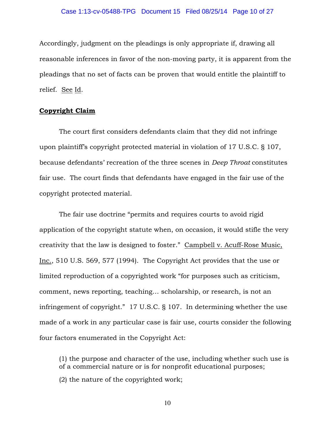Accordingly, judgment on the pleadings is only appropriate if, drawing all reasonable inferences in favor of the non-moving party, it is apparent from the pleadings that no set of facts can be proven that would entitle the plaintiff to relief. See Id.

#### **Copyright Claim**

 The court first considers defendants claim that they did not infringe upon plaintiff's copyright protected material in violation of 17 U.S.C. § 107, because defendants' recreation of the three scenes in *Deep Throat* constitutes fair use. The court finds that defendants have engaged in the fair use of the copyright protected material.

The fair use doctrine "permits and requires courts to avoid rigid application of the copyright statute when, on occasion, it would stifle the very creativity that the law is designed to foster." Campbell v. Acuff-Rose Music, Inc., 510 U.S. 569, 577 (1994). The Copyright Act provides that the use or limited reproduction of a copyrighted work "for purposes such as criticism, comment, news reporting, teaching… scholarship, or research, is not an infringement of copyright." 17 U.S.C. § 107. In determining whether the use made of a work in any particular case is fair use, courts consider the following four factors enumerated in the Copyright Act:

(1) the purpose and character of the use, including whether such use is of a commercial nature or is for nonprofit educational purposes;

(2) the nature of the copyrighted work;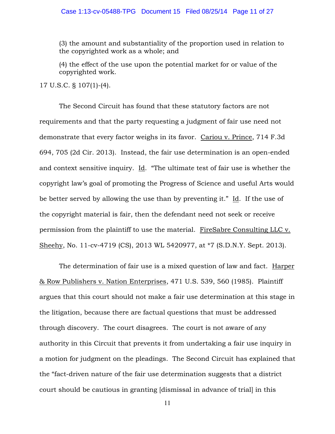(3) the amount and substantiality of the proportion used in relation to the copyrighted work as a whole; and

(4) the effect of the use upon the potential market for or value of the copyrighted work.

17 U.S.C. § 107(1)-(4).

The Second Circuit has found that these statutory factors are not requirements and that the party requesting a judgment of fair use need not demonstrate that every factor weighs in its favor. Cariou v. Prince, 714 F.3d 694, 705 (2d Cir. 2013). Instead, the fair use determination is an open-ended and context sensitive inquiry. Id. "The ultimate test of fair use is whether the copyright law's goal of promoting the Progress of Science and useful Arts would be better served by allowing the use than by preventing it." Id. If the use of the copyright material is fair, then the defendant need not seek or receive permission from the plaintiff to use the material. FireSabre Consulting LLC v. Sheehy, No. 11-cv-4719 (CS), 2013 WL 5420977, at \*7 (S.D.N.Y. Sept. 2013).

The determination of fair use is a mixed question of law and fact. Harper & Row Publishers v. Nation Enterprises, 471 U.S. 539, 560 (1985). Plaintiff argues that this court should not make a fair use determination at this stage in the litigation, because there are factual questions that must be addressed through discovery. The court disagrees. The court is not aware of any authority in this Circuit that prevents it from undertaking a fair use inquiry in a motion for judgment on the pleadings. The Second Circuit has explained that the "fact-driven nature of the fair use determination suggests that a district court should be cautious in granting [dismissal in advance of trial] in this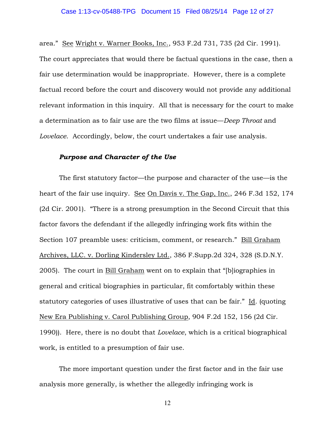area." See Wright v. Warner Books, Inc., 953 F.2d 731, 735 (2d Cir. 1991). The court appreciates that would there be factual questions in the case, then a fair use determination would be inappropriate. However, there is a complete factual record before the court and discovery would not provide any additional relevant information in this inquiry. All that is necessary for the court to make a determination as to fair use are the two films at issue—*Deep Throat* and *Lovelace*. Accordingly, below, the court undertakes a fair use analysis.

## *Purpose and Character of the Use*

The first statutory factor—the purpose and character of the use—is the heart of the fair use inquiry. See On Davis v. The Gap, Inc., 246 F.3d 152, 174 (2d Cir. 2001). "There is a strong presumption in the Second Circuit that this factor favors the defendant if the allegedly infringing work fits within the Section 107 preamble uses: criticism, comment, or research." Bill Graham Archives, LLC. v. Dorling Kindersley Ltd., 386 F.Supp.2d 324, 328 (S.D.N.Y. 2005). The court in Bill Graham went on to explain that "[b]iographies in general and critical biographies in particular, fit comfortably within these statutory categories of uses illustrative of uses that can be fair." Id. (quoting New Era Publishing v. Carol Publishing Group, 904 F.2d 152, 156 (2d Cir. 1990)). Here, there is no doubt that *Lovelace*, which is a critical biographical work, is entitled to a presumption of fair use.

The more important question under the first factor and in the fair use analysis more generally, is whether the allegedly infringing work is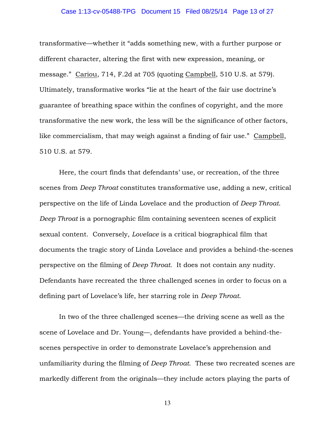#### Case 1:13-cv-05488-TPG Document 15 Filed 08/25/14 Page 13 of 27

transformative—whether it "adds something new, with a further purpose or different character, altering the first with new expression, meaning, or message." Cariou, 714, F.2d at 705 (quoting Campbell, 510 U.S. at 579). Ultimately, transformative works "lie at the heart of the fair use doctrine's guarantee of breathing space within the confines of copyright, and the more transformative the new work, the less will be the significance of other factors, like commercialism, that may weigh against a finding of fair use." Campbell, 510 U.S. at 579.

Here, the court finds that defendants' use, or recreation, of the three scenes from *Deep Throat* constitutes transformative use, adding a new, critical perspective on the life of Linda Lovelace and the production of *Deep Throat*. *Deep Throat* is a pornographic film containing seventeen scenes of explicit sexual content. Conversely, *Lovelace* is a critical biographical film that documents the tragic story of Linda Lovelace and provides a behind-the-scenes perspective on the filming of *Deep Throat*. It does not contain any nudity. Defendants have recreated the three challenged scenes in order to focus on a defining part of Lovelace's life, her starring role in *Deep Throat*.

In two of the three challenged scenes—the driving scene as well as the scene of Lovelace and Dr. Young—, defendants have provided a behind-thescenes perspective in order to demonstrate Lovelace's apprehension and unfamiliarity during the filming of *Deep Throat*. These two recreated scenes are markedly different from the originals—they include actors playing the parts of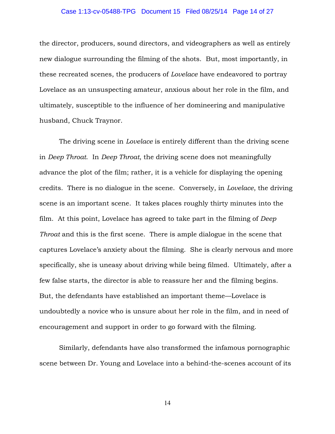#### Case 1:13-cv-05488-TPG Document 15 Filed 08/25/14 Page 14 of 27

the director, producers, sound directors, and videographers as well as entirely new dialogue surrounding the filming of the shots. But, most importantly, in these recreated scenes, the producers of *Lovelace* have endeavored to portray Lovelace as an unsuspecting amateur, anxious about her role in the film, and ultimately, susceptible to the influence of her domineering and manipulative husband, Chuck Traynor.

The driving scene in *Lovelace* is entirely different than the driving scene in *Deep Throat*. In *Deep Throat*, the driving scene does not meaningfully advance the plot of the film; rather, it is a vehicle for displaying the opening credits. There is no dialogue in the scene. Conversely, in *Lovelace*, the driving scene is an important scene. It takes places roughly thirty minutes into the film. At this point, Lovelace has agreed to take part in the filming of *Deep Throat* and this is the first scene. There is ample dialogue in the scene that captures Lovelace's anxiety about the filming. She is clearly nervous and more specifically, she is uneasy about driving while being filmed. Ultimately, after a few false starts, the director is able to reassure her and the filming begins. But, the defendants have established an important theme—Lovelace is undoubtedly a novice who is unsure about her role in the film, and in need of encouragement and support in order to go forward with the filming.

Similarly, defendants have also transformed the infamous pornographic scene between Dr. Young and Lovelace into a behind-the-scenes account of its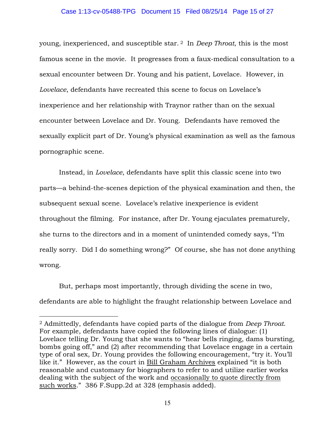#### Case 1:13-cv-05488-TPG Document 15 Filed 08/25/14 Page 15 of 27

young, inexperienced, and susceptible star.<sup>2</sup> In *Deep Throat*, this is the most famous scene in the movie. It progresses from a faux-medical consultation to a sexual encounter between Dr. Young and his patient, Lovelace. However, in *Lovelace*, defendants have recreated this scene to focus on Lovelace's inexperience and her relationship with Traynor rather than on the sexual encounter between Lovelace and Dr. Young. Defendants have removed the sexually explicit part of Dr. Young's physical examination as well as the famous pornographic scene.

Instead, in *Lovelace*, defendants have split this classic scene into two parts—a behind-the-scenes depiction of the physical examination and then, the subsequent sexual scene. Lovelace's relative inexperience is evident throughout the filming. For instance, after Dr. Young ejaculates prematurely, she turns to the directors and in a moment of unintended comedy says, "I'm really sorry. Did I do something wrong?" Of course, she has not done anything wrong.

But, perhaps most importantly, through dividing the scene in two, defendants are able to highlight the fraught relationship between Lovelace and

 $\overline{a}$ 

<sup>2</sup> Admittedly, defendants have copied parts of the dialogue from *Deep Throat*. For example, defendants have copied the following lines of dialogue: (1) Lovelace telling Dr. Young that she wants to "hear bells ringing, dams bursting, bombs going off," and (2) after recommending that Lovelace engage in a certain type of oral sex, Dr. Young provides the following encouragement, "try it. You'll like it." However, as the court in Bill Graham Archives explained "it is both reasonable and customary for biographers to refer to and utilize earlier works dealing with the subject of the work and occasionally to quote directly from such works." 386 F.Supp.2d at 328 (emphasis added).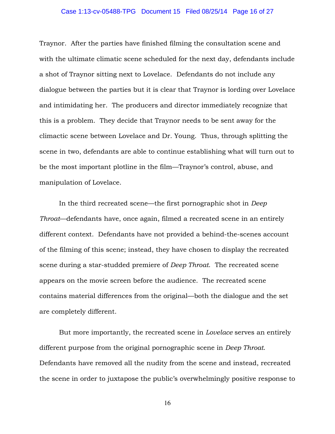#### Case 1:13-cv-05488-TPG Document 15 Filed 08/25/14 Page 16 of 27

Traynor. After the parties have finished filming the consultation scene and with the ultimate climatic scene scheduled for the next day, defendants include a shot of Traynor sitting next to Lovelace. Defendants do not include any dialogue between the parties but it is clear that Traynor is lording over Lovelace and intimidating her. The producers and director immediately recognize that this is a problem. They decide that Traynor needs to be sent away for the climactic scene between Lovelace and Dr. Young. Thus, through splitting the scene in two, defendants are able to continue establishing what will turn out to be the most important plotline in the film—Traynor's control, abuse, and manipulation of Lovelace.

In the third recreated scene—the first pornographic shot in *Deep Throat*—defendants have, once again, filmed a recreated scene in an entirely different context. Defendants have not provided a behind-the-scenes account of the filming of this scene; instead, they have chosen to display the recreated scene during a star-studded premiere of *Deep Throat*. The recreated scene appears on the movie screen before the audience. The recreated scene contains material differences from the original—both the dialogue and the set are completely different.

But more importantly, the recreated scene in *Lovelace* serves an entirely different purpose from the original pornographic scene in *Deep Throat*. Defendants have removed all the nudity from the scene and instead, recreated the scene in order to juxtapose the public's overwhelmingly positive response to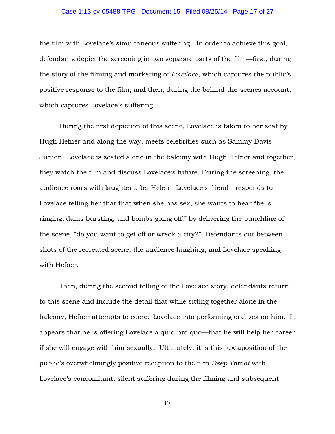#### Case 1:13-cv-05488-TPG Document 15 Filed 08/25/14 Page 17 of 27

the film with Lovelace's simultaneous suffering. In order to achieve this goal, defendants depict the screening in two separate parts of the film—first, during the story of the filming and marketing of *Lovelace*, which captures the public's positive response to the film, and then, during the behind-the-scenes account, which captures Lovelace's suffering.

During the first depiction of this scene, Lovelace is taken to her seat by Hugh Hefner and along the way, meets celebrities such as Sammy Davis Junior. Lovelace is seated alone in the balcony with Hugh Hefner and together, they watch the film and discuss Lovelace's future. During the screening, the audience roars with laughter after Helen—Lovelace's friend—responds to Lovelace telling her that that when she has sex, she wants to hear "bells ringing, dams bursting, and bombs going off," by delivering the punchline of the scene, "do you want to get off or wreck a city?" Defendants cut between shots of the recreated scene, the audience laughing, and Lovelace speaking with Hefner.

Then, during the second telling of the Lovelace story, defendants return to this scene and include the detail that while sitting together alone in the balcony, Hefner attempts to coerce Lovelace into performing oral sex on him. It appears that he is offering Lovelace a quid pro quo—that he will help her career if she will engage with him sexually. Ultimately, it is this juxtaposition of the public's overwhelmingly positive reception to the film *Deep Throat* with Lovelace's concomitant, silent suffering during the filming and subsequent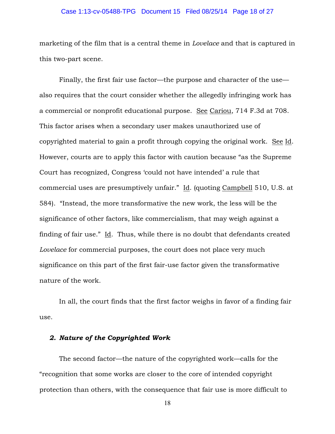#### Case 1:13-cv-05488-TPG Document 15 Filed 08/25/14 Page 18 of 27

marketing of the film that is a central theme in *Lovelace* and that is captured in this two-part scene.

Finally, the first fair use factor—the purpose and character of the use also requires that the court consider whether the allegedly infringing work has a commercial or nonprofit educational purpose. See Cariou, 714 F.3d at 708. This factor arises when a secondary user makes unauthorized use of copyrighted material to gain a profit through copying the original work. See Id. However, courts are to apply this factor with caution because "as the Supreme Court has recognized, Congress 'could not have intended' a rule that commercial uses are presumptively unfair." Id. (quoting Campbell 510, U.S. at 584). "Instead, the more transformative the new work, the less will be the significance of other factors, like commercialism, that may weigh against a finding of fair use." Id. Thus, while there is no doubt that defendants created *Lovelace* for commercial purposes, the court does not place very much significance on this part of the first fair-use factor given the transformative nature of the work.

In all, the court finds that the first factor weighs in favor of a finding fair use.

## *2. Nature of the Copyrighted Work*

The second factor—the nature of the copyrighted work—calls for the "recognition that some works are closer to the core of intended copyright protection than others, with the consequence that fair use is more difficult to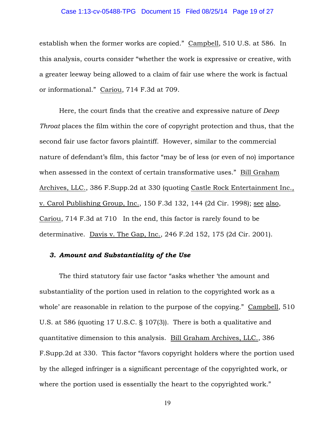#### Case 1:13-cv-05488-TPG Document 15 Filed 08/25/14 Page 19 of 27

establish when the former works are copied." Campbell, 510 U.S. at 586. In this analysis, courts consider "whether the work is expressive or creative, with a greater leeway being allowed to a claim of fair use where the work is factual or informational." Cariou, 714 F.3d at 709.

Here, the court finds that the creative and expressive nature of *Deep Throat* places the film within the core of copyright protection and thus, that the second fair use factor favors plaintiff. However, similar to the commercial nature of defendant's film, this factor "may be of less (or even of no) importance when assessed in the context of certain transformative uses." Bill Graham Archives, LLC., 386 F.Supp.2d at 330 (quoting Castle Rock Entertainment Inc., v. Carol Publishing Group, Inc., 150 F.3d 132, 144 (2d Cir. 1998); see also, Cariou, 714 F.3d at 710 In the end, this factor is rarely found to be determinative. Davis v. The Gap, Inc., 246 F.2d 152, 175 (2d Cir. 2001).

### *3. Amount and Substantiality of the Use*

The third statutory fair use factor "asks whether 'the amount and substantiality of the portion used in relation to the copyrighted work as a whole' are reasonable in relation to the purpose of the copying." Campbell, 510 U.S. at 586 (quoting 17 U.S.C. § 107(3)). There is both a qualitative and quantitative dimension to this analysis. Bill Graham Archives, LLC., 386 F.Supp.2d at 330. This factor "favors copyright holders where the portion used by the alleged infringer is a significant percentage of the copyrighted work, or where the portion used is essentially the heart to the copyrighted work."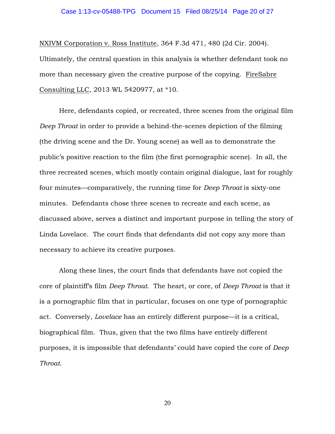#### Case 1:13-cv-05488-TPG Document 15 Filed 08/25/14 Page 20 of 27

NXIVM Corporation v. Ross Institute, 364 F.3d 471, 480 (2d Cir. 2004). Ultimately, the central question in this analysis is whether defendant took no more than necessary given the creative purpose of the copying. FireSabre Consulting LLC, 2013 WL 5420977, at \*10.

Here, defendants copied, or recreated, three scenes from the original film *Deep Throat* in order to provide a behind-the-scenes depiction of the filming (the driving scene and the Dr. Young scene) as well as to demonstrate the public's positive reaction to the film (the first pornographic scene). In all, the three recreated scenes, which mostly contain original dialogue, last for roughly four minutes—comparatively, the running time for *Deep Throat* is sixty-one minutes. Defendants chose three scenes to recreate and each scene, as discussed above, serves a distinct and important purpose in telling the story of Linda Lovelace. The court finds that defendants did not copy any more than necessary to achieve its creative purposes.

Along these lines, the court finds that defendants have not copied the core of plaintiff's film *Deep Throat*. The heart, or core, of *Deep Throat* is that it is a pornographic film that in particular, focuses on one type of pornographic act. Conversely, *Lovelace* has an entirely different purpose—it is a critical, biographical film. Thus, given that the two films have entirely different purposes, it is impossible that defendants' could have copied the core of *Deep Throat*.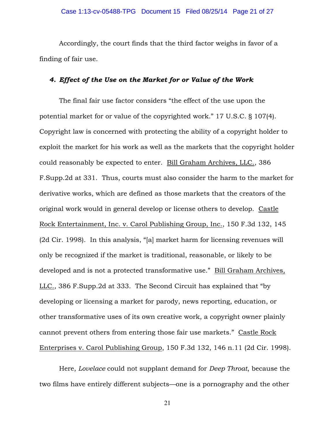Accordingly, the court finds that the third factor weighs in favor of a finding of fair use.

## *4. Effect of the Use on the Market for or Value of the Work*

The final fair use factor considers "the effect of the use upon the potential market for or value of the copyrighted work." 17 U.S.C. § 107(4). Copyright law is concerned with protecting the ability of a copyright holder to exploit the market for his work as well as the markets that the copyright holder could reasonably be expected to enter. Bill Graham Archives, LLC., 386 F.Supp.2d at 331. Thus, courts must also consider the harm to the market for derivative works, which are defined as those markets that the creators of the original work would in general develop or license others to develop. Castle Rock Entertainment, Inc. v. Carol Publishing Group, Inc., 150 F.3d 132, 145 (2d Cir. 1998). In this analysis, "[a] market harm for licensing revenues will only be recognized if the market is traditional, reasonable, or likely to be developed and is not a protected transformative use." Bill Graham Archives, LLC., 386 F.Supp.2d at 333. The Second Circuit has explained that "by developing or licensing a market for parody, news reporting, education, or other transformative uses of its own creative work, a copyright owner plainly cannot prevent others from entering those fair use markets." Castle Rock Enterprises v. Carol Publishing Group, 150 F.3d 132, 146 n.11 (2d Cir. 1998).

Here, *Lovelace* could not supplant demand for *Deep Throat*, because the two films have entirely different subjects—one is a pornography and the other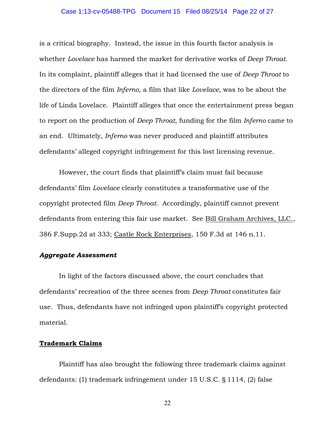#### Case 1:13-cv-05488-TPG Document 15 Filed 08/25/14 Page 22 of 27

is a critical biography. Instead, the issue in this fourth factor analysis is whether *Lovelace* has harmed the market for derivative works of *Deep Throat*. In its complaint, plaintiff alleges that it had licensed the use of *Deep Throat* to the directors of the film *Inferno*, a film that like *Lovelace*, was to be about the life of Linda Lovelace. Plaintiff alleges that once the entertainment press began to report on the production of *Deep Throat*, funding for the film *Inferno* came to an end. Ultimately, *Inferno* was never produced and plaintiff attributes defendants' alleged copyright infringement for this lost licensing revenue.

However, the court finds that plaintiff's claim must fail because defendants' film *Lovelace* clearly constitutes a transformative use of the copyright protected film *Deep Throat*. Accordingly, plaintiff cannot prevent defendants from entering this fair use market. See Bill Graham Archives, LLC., 386 F.Supp.2d at 333; Castle Rock Enterprises, 150 F.3d at 146 n.11.

### *Aggregate Assessment*

 In light of the factors discussed above, the court concludes that defendants' recreation of the three scenes from *Deep Throat* constitutes fair use. Thus, defendants have not infringed upon plaintiff's copyright protected material.

## **Trademark Claims**

Plaintiff has also brought the following three trademark claims against defendants: (1) trademark infringement under 15 U.S.C. § 1114, (2) false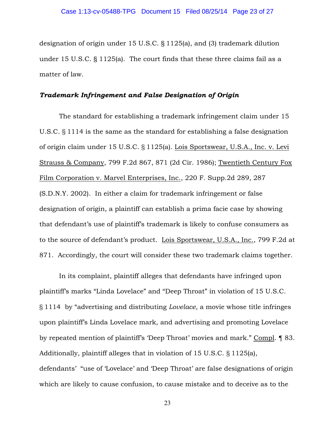designation of origin under 15 U.S.C. § 1125(a), and (3) trademark dilution under 15 U.S.C. § 1125(a). The court finds that these three claims fail as a matter of law.

## *Trademark Infringement and False Designation of Origin*

The standard for establishing a trademark infringement claim under 15 U.S.C. § 1114 is the same as the standard for establishing a false designation of origin claim under 15 U.S.C. § 1125(a). Lois Sportswear, U.S.A., Inc. v. Levi Strauss & Company, 799 F.2d 867, 871 (2d Cir. 1986); Twentieth Century Fox Film Corporation v. Marvel Enterprises, Inc., 220 F. Supp.2d 289, 287 (S.D.N.Y. 2002). In either a claim for trademark infringement or false designation of origin, a plaintiff can establish a prima facie case by showing that defendant's use of plaintiff's trademark is likely to confuse consumers as to the source of defendant's product. Lois Sportswear, U.S.A., Inc., 799 F.2d at 871. Accordingly, the court will consider these two trademark claims together.

In its complaint, plaintiff alleges that defendants have infringed upon plaintiff's marks "Linda Lovelace" and "Deep Throat" in violation of 15 U.S.C. § 1114 by "advertising and distributing *Lovelace*, a movie whose title infringes upon plaintiff's Linda Lovelace mark, and advertising and promoting Lovelace by repeated mention of plaintiff's 'Deep Throat' movies and mark." Compl. ¶ 83. Additionally, plaintiff alleges that in violation of 15 U.S.C. § 1125(a), defendants' "use of 'Lovelace' and 'Deep Throat' are false designations of origin which are likely to cause confusion, to cause mistake and to deceive as to the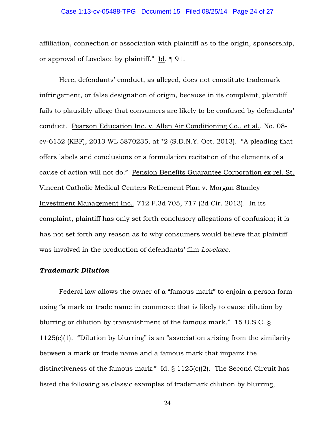#### Case 1:13-cv-05488-TPG Document 15 Filed 08/25/14 Page 24 of 27

affiliation, connection or association with plaintiff as to the origin, sponsorship, or approval of Lovelace by plaintiff." Id. ¶ 91.

Here, defendants' conduct, as alleged, does not constitute trademark infringement, or false designation of origin, because in its complaint, plaintiff fails to plausibly allege that consumers are likely to be confused by defendants' conduct. Pearson Education Inc. v. Allen Air Conditioning Co., et al., No. 08 cv-6152 (KBF), 2013 WL 5870235, at \*2 (S.D.N.Y. Oct. 2013). "A pleading that offers labels and conclusions or a formulation recitation of the elements of a cause of action will not do." Pension Benefits Guarantee Corporation ex rel. St. Vincent Catholic Medical Centers Retirement Plan v. Morgan Stanley Investment Management Inc., 712 F.3d 705, 717 (2d Cir. 2013). In its complaint, plaintiff has only set forth conclusory allegations of confusion; it is has not set forth any reason as to why consumers would believe that plaintiff was involved in the production of defendants' film *Lovelace*.

#### *Trademark Dilution*

Federal law allows the owner of a "famous mark" to enjoin a person form using "a mark or trade name in commerce that is likely to cause dilution by blurring or dilution by transnishment of the famous mark." 15 U.S.C. § 1125(c)(1). "Dilution by blurring" is an "association arising from the similarity between a mark or trade name and a famous mark that impairs the distinctiveness of the famous mark." Id. § 1125(c)(2). The Second Circuit has listed the following as classic examples of trademark dilution by blurring,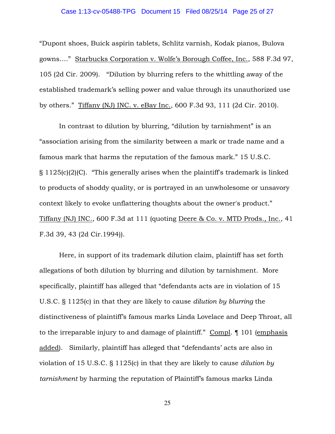## Case 1:13-cv-05488-TPG Document 15 Filed 08/25/14 Page 25 of 27

"Dupont shoes, Buick aspirin tablets, Schlitz varnish, Kodak pianos, Bulova gowns…." Starbucks Corporation v. Wolfe's Borough Coffee, Inc., 588 F.3d 97, 105 (2d Cir. 2009). "Dilution by blurring refers to the whittling away of the established trademark's selling power and value through its unauthorized use by others." Tiffany (NJ) INC. v. eBay Inc., 600 F.3d 93, 111 (2d Cir. 2010).

In contrast to dilution by blurring, "dilution by tarnishment" is an "association arising from the similarity between a mark or trade name and a famous mark that harms the reputation of the famous mark." 15 U.S.C.  $\S$  1125(c)(2)(C). "This generally arises when the plaintiff's trademark is linked to products of shoddy quality, or is portrayed in an unwholesome or unsavory context likely to evoke unflattering thoughts about the owner's product." Tiffany (NJ) INC., 600 F.3d at 111 (quoting Deere & Co. v. MTD Prods., Inc., 41 F.3d 39, 43 (2d Cir.1994)).

Here, in support of its trademark dilution claim, plaintiff has set forth allegations of both dilution by blurring and dilution by tarnishment. More specifically, plaintiff has alleged that "defendants acts are in violation of 15 U.S.C. § 1125(c) in that they are likely to cause *dilution by blurring* the distinctiveness of plaintiff's famous marks Linda Lovelace and Deep Throat, all to the irreparable injury to and damage of plaintiff." Compl. ¶ 101 (emphasis added). Similarly, plaintiff has alleged that "defendants' acts are also in violation of 15 U.S.C. § 1125(c) in that they are likely to cause *dilution by tarnishment* by harming the reputation of Plaintiff's famous marks Linda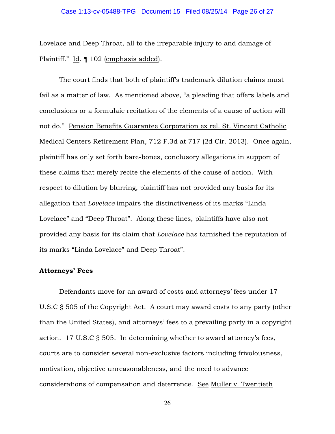Lovelace and Deep Throat, all to the irreparable injury to and damage of Plaintiff." Id. ¶ 102 (emphasis added).

The court finds that both of plaintiff's trademark dilution claims must fail as a matter of law. As mentioned above, "a pleading that offers labels and conclusions or a formulaic recitation of the elements of a cause of action will not do." Pension Benefits Guarantee Corporation ex rel. St. Vincent Catholic Medical Centers Retirement Plan, 712 F.3d at 717 (2d Cir. 2013). Once again, plaintiff has only set forth bare-bones, conclusory allegations in support of these claims that merely recite the elements of the cause of action. With respect to dilution by blurring, plaintiff has not provided any basis for its allegation that *Lovelace* impairs the distinctiveness of its marks "Linda Lovelace" and "Deep Throat". Along these lines, plaintiffs have also not provided any basis for its claim that *Lovelace* has tarnished the reputation of its marks "Linda Lovelace" and Deep Throat".

#### **Attorneys' Fees**

 Defendants move for an award of costs and attorneys' fees under 17 U.S.C § 505 of the Copyright Act. A court may award costs to any party (other than the United States), and attorneys' fees to a prevailing party in a copyright action. 17 U.S.C § 505. In determining whether to award attorney's fees, courts are to consider several non-exclusive factors including frivolousness, motivation, objective unreasonableness, and the need to advance considerations of compensation and deterrence. See Muller v. Twentieth